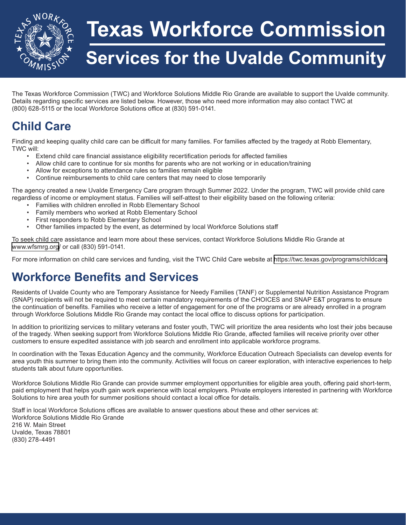

## **Texas Workforce Commission**

## **Services for the Uvalde Community**

The Texas Workforce Commission (TWC) and Workforce Solutions Middle Rio Grande are available to support the Uvalde community. Details regarding specific services are listed below. However, those who need more information may also contact TWC at (800) 628-5115 or the local Workforce Solutions office at (830) 591-0141.

### **Child Care**

Finding and keeping quality child care can be difficult for many families. For families affected by the tragedy at Robb Elementary, TWC will:

- Extend child care financial assistance eligibility recertification periods for affected families
- Allow child care to continue for six months for parents who are not working or in education/training
- Allow for exceptions to attendance rules so families remain eligible
- Continue reimbursements to child care centers that may need to close temporarily

The agency created a new Uvalde Emergency Care program through Summer 2022. Under the program, TWC will provide child care regardless of income or employment status. Families will self-attest to their eligibility based on the following criteria:

- Families with children enrolled in Robb Elementary School
- Family members who worked at Robb Elementary School
- First responders to Robb Elementary School
- Other families impacted by the event, as determined by local Workforce Solutions staff

To seek child care assistance and learn more about these services, contact Workforce Solutions Middle Rio Grande at <www.wfsmrg.org>/ or call (830) 591-0141.

For more information on child care services and funding, visit the TWC Child Care website at [https://twc.texas.gov/programs/childcare.](https://twc.texas.gov/programs/childcare)

### **Workforce Benefits and Services**

Residents of Uvalde County who are Temporary Assistance for Needy Families (TANF) or Supplemental Nutrition Assistance Program (SNAP) recipients will not be required to meet certain mandatory requirements of the CHOICES and SNAP E&T programs to ensure the continuation of benefits. Families who receive a letter of engagement for one of the programs or are already enrolled in a program through Workforce Solutions Middle Rio Grande may contact the local office to discuss options for participation.

In addition to prioritizing services to military veterans and foster youth, TWC will prioritize the area residents who lost their jobs because of the tragedy. When seeking support from Workforce Solutions Middle Rio Grande, affected families will receive priority over other customers to ensure expedited assistance with job search and enrollment into applicable workforce programs.

In coordination with the Texas Education Agency and the community, Workforce Education Outreach Specialists can develop events for area youth this summer to bring them into the community. Activities will focus on career exploration, with interactive experiences to help students talk about future opportunities.

Workforce Solutions Middle Rio Grande can provide summer employment opportunities for eligible area youth, offering paid short-term, paid employment that helps youth gain work experience with local employers. Private employers interested in partnering with Workforce Solutions to hire area youth for summer positions should contact a local office for details.

Staff in local Workforce Solutions offices are available to answer questions about these and other services at: Workforce Solutions Middle Rio Grande 216 W. Main Street Uvalde, Texas 78801 (830) 278-4491